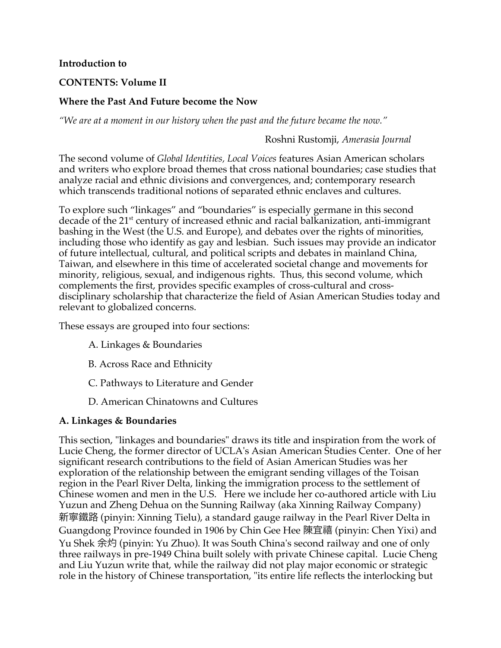#### **Introduction to**

# **CONTENTS: Volume II**

# **Where the Past And Future become the Now**

*"We are at a moment in our history when the past and the future became the now."* 

# Roshni Rustomji, *Amerasia Journal*

The second volume of *Global Identities, Local Voices* features Asian American scholars and writers who explore broad themes that cross national boundaries; case studies that analyze racial and ethnic divisions and convergences, and; contemporary research which transcends traditional notions of separated ethnic enclaves and cultures.

To explore such "linkages" and "boundaries" is especially germane in this second decade of the 21<sup>st</sup> century of increased ethnic and racial balkanization, anti-immigrant bashing in the West (the U.S. and Europe), and debates over the rights of minorities, including those who identify as gay and lesbian. Such issues may provide an indicator of future intellectual, cultural, and political scripts and debates in mainland China, Taiwan, and elsewhere in this time of accelerated societal change and movements for minority, religious, sexual, and indigenous rights. Thus, this second volume, which complements the first, provides specific examples of cross-cultural and crossdisciplinary scholarship that characterize the field of Asian American Studies today and relevant to globalized concerns.

These essays are grouped into four sections:

- A. Linkages & Boundaries
- B. Across Race and Ethnicity
- C. Pathways to Literature and Gender
- D. American Chinatowns and Cultures

## **A. Linkages & Boundaries**

This section, "linkages and boundaries" draws its title and inspiration from the work of Lucie Cheng, the former director of UCLA's Asian American Studies Center. One of her significant research contributions to the field of Asian American Studies was her exploration of the relationship between the emigrant sending villages of the Toisan region in the Pearl River Delta, linking the immigration process to the settlement of Chinese women and men in the U.S. Here we include her co-authored article with Liu Yuzun and Zheng Dehua on the Sunning Railway (aka Xinning Railway Company) 新寧鐵路 (pinyin: Xinning Tielu), a standard gauge railway in the Pearl River Delta in Guangdong Province founded in 1906 by Chin Gee Hee 陳宜禧 (pinyin: Chen Yixi) and Yu Shek 余灼 (pinyin: Yu Zhuo). It was South China's second railway and one of only three railways in pre-1949 China built solely with private Chinese capital. Lucie Cheng and Liu Yuzun write that, while the railway did not play major economic or strategic role in the history of Chinese transportation, "its entire life reflects the interlocking but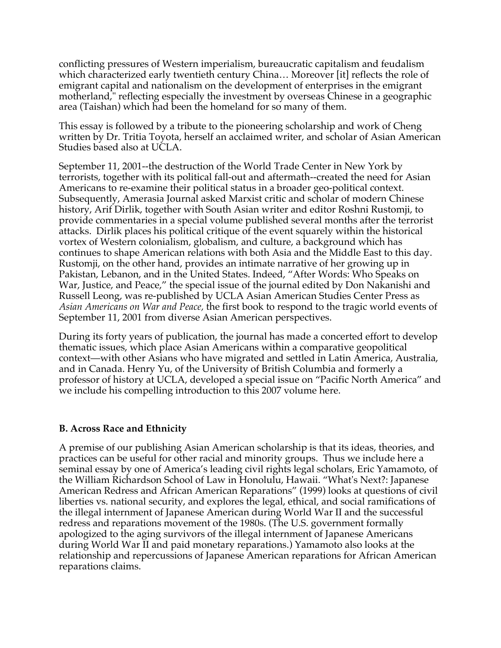conflicting pressures of Western imperialism, bureaucratic capitalism and feudalism which characterized early twentieth century China… Moreover [it] reflects the role of emigrant capital and nationalism on the development of enterprises in the emigrant motherland," reflecting especially the investment by overseas Chinese in a geographic area (Taishan) which had been the homeland for so many of them.

This essay is followed by a tribute to the pioneering scholarship and work of Cheng written by Dr. Tritia Toyota, herself an acclaimed writer, and scholar of Asian American Studies based also at UCLA.

September 11, 2001--the destruction of the World Trade Center in New York by terrorists, together with its political fall-out and aftermath--created the need for Asian Americans to re-examine their political status in a broader geo-political context. Subsequently, Amerasia Journal asked Marxist critic and scholar of modern Chinese history, Arif Dirlik, together with South Asian writer and editor Roshni Rustomji, to provide commentaries in a special volume published several months after the terrorist attacks. Dirlik places his political critique of the event squarely within the historical vortex of Western colonialism, globalism, and culture, a background which has continues to shape American relations with both Asia and the Middle East to this day. Rustomji, on the other hand, provides an intimate narrative of her growing up in Pakistan, Lebanon, and in the United States. Indeed, "After Words: Who Speaks on War, Justice, and Peace," the special issue of the journal edited by Don Nakanishi and Russell Leong, was re-published by UCLA Asian American Studies Center Press as *Asian Americans on War and Peace,* the first book to respond to the tragic world events of September 11, 2001 from diverse Asian American perspectives.

During its forty years of publication, the journal has made a concerted effort to develop thematic issues, which place Asian Americans within a comparative geopolitical context—with other Asians who have migrated and settled in Latin America, Australia, and in Canada. Henry Yu, of the University of British Columbia and formerly a professor of history at UCLA, developed a special issue on "Pacific North America" and we include his compelling introduction to this 2007 volume here.

## **B. Across Race and Ethnicity**

A premise of our publishing Asian American scholarship is that its ideas, theories, and practices can be useful for other racial and minority groups. Thus we include here a seminal essay by one of America's leading civil rights legal scholars, Eric Yamamoto, of the William Richardson School of Law in Honolulu, Hawaii. "What's Next?: Japanese American Redress and African American Reparations" (1999) looks at questions of civil liberties vs. national security, and explores the legal, ethical, and social ramifications of the illegal internment of Japanese American during World War II and the successful redress and reparations movement of the 1980s. (The U.S. government formally apologized to the aging survivors of the illegal internment of Japanese Americans during World War II and paid monetary reparations.) Yamamoto also looks at the relationship and repercussions of Japanese American reparations for African American reparations claims.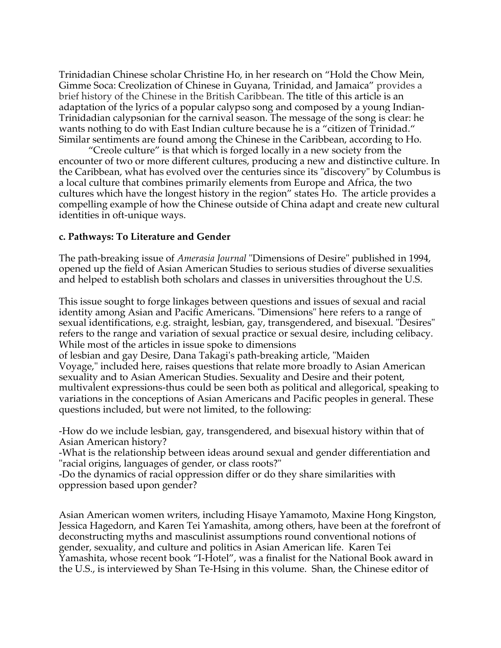Trinidadian Chinese scholar Christine Ho, in her research on "Hold the Chow Mein, Gimme Soca: Creolization of Chinese in Guyana, Trinidad, and Jamaica" provides a brief history of the Chinese in the British Caribbean. The title of this article is an adaptation of the lyrics of a popular calypso song and composed by a young Indian-Trinidadian calypsonian for the carnival season. The message of the song is clear: he wants nothing to do with East Indian culture because he is a "citizen of Trinidad." Similar sentiments are found among the Chinese in the Caribbean, according to Ho.

"Creole culture" is that which is forged locally in a new society from the encounter of two or more different cultures, producing a new and distinctive culture. In the Caribbean, what has evolved over the centuries since its "discovery" by Columbus is a local culture that combines primarily elements from Europe and Africa, the two cultures which have the longest history in the region" states Ho. The article provides a compelling example of how the Chinese outside of China adapt and create new cultural identities in oft-unique ways.

#### **c. Pathways: To Literature and Gender**

The path-breaking issue of *Amerasia Journal* "Dimensions of Desire" published in 1994, opened up the field of Asian American Studies to serious studies of diverse sexualities and helped to establish both scholars and classes in universities throughout the U.S.

This issue sought to forge linkages between questions and issues of sexual and racial identity among Asian and Pacific Americans. "Dimensions" here refers to a range of sexual identifications, e.g. straight, lesbian, gay, transgendered, and bisexual. "Desires" refers to the range and variation of sexual practice or sexual desire, including celibacy. While most of the articles in issue spoke to dimensions

of lesbian and gay Desire, Dana Takagi's path-breaking article, "Maiden Voyage," included here, raises questions that relate more broadly to Asian American sexuality and to Asian American Studies. Sexuality and Desire and their potent, multivalent expressions-thus could be seen both as political and allegorical, speaking to variations in the conceptions of Asian Americans and Pacific peoples in general. These questions included, but were not limited, to the following:

-How do we include lesbian, gay, transgendered, and bisexual history within that of Asian American history?

-What is the relationship between ideas around sexual and gender differentiation and "racial origins, languages of gender, or class roots?"

-Do the dynamics of racial oppression differ or do they share similarities with oppression based upon gender?

Asian American women writers, including Hisaye Yamamoto, Maxine Hong Kingston, Jessica Hagedorn, and Karen Tei Yamashita, among others, have been at the forefront of deconstructing myths and masculinist assumptions round conventional notions of gender, sexuality, and culture and politics in Asian American life. Karen Tei Yamashita, whose recent book "I-Hotel", was a finalist for the National Book award in the U.S., is interviewed by Shan Te-Hsing in this volume. Shan, the Chinese editor of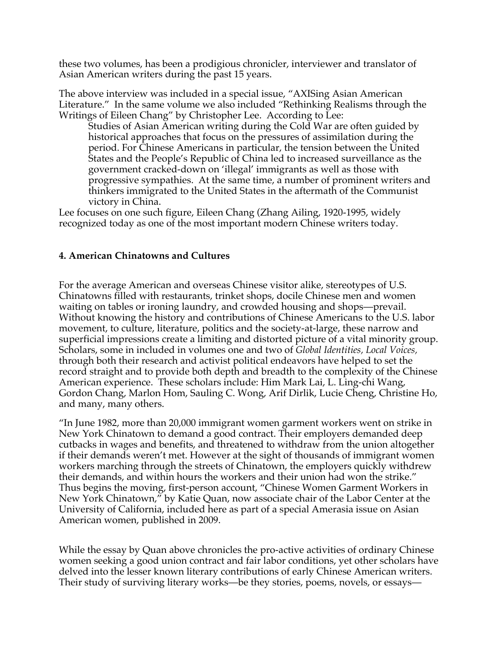these two volumes, has been a prodigious chronicler, interviewer and translator of Asian American writers during the past 15 years.

The above interview was included in a special issue, "AXISing Asian American Literature." In the same volume we also included "Rethinking Realisms through the Writings of Eileen Chang" by Christopher Lee. According to Lee:

Studies of Asian American writing during the Cold War are often guided by historical approaches that focus on the pressures of assimilation during the period. For Chinese Americans in particular, the tension between the United States and the People's Republic of China led to increased surveillance as the government cracked-down on 'illegal' immigrants as well as those with progressive sympathies. At the same time, a number of prominent writers and thinkers immigrated to the United States in the aftermath of the Communist victory in China.

Lee focuses on one such figure, Eileen Chang (Zhang Ailing, 1920-1995, widely recognized today as one of the most important modern Chinese writers today.

## **4. American Chinatowns and Cultures**

For the average American and overseas Chinese visitor alike, stereotypes of U.S. Chinatowns filled with restaurants, trinket shops, docile Chinese men and women waiting on tables or ironing laundry, and crowded housing and shops—prevail. Without knowing the history and contributions of Chinese Americans to the U.S. labor movement, to culture, literature, politics and the society-at-large, these narrow and superficial impressions create a limiting and distorted picture of a vital minority group. Scholars, some in included in volumes one and two of *Global Identities, Local Voices,*  through both their research and activist political endeavors have helped to set the record straight and to provide both depth and breadth to the complexity of the Chinese American experience. These scholars include: Him Mark Lai, L. Ling-chi Wang, Gordon Chang, Marlon Hom, Sauling C. Wong, Arif Dirlik, Lucie Cheng, Christine Ho, and many, many others.

"In June 1982, more than 20,000 immigrant women garment workers went on strike in New York Chinatown to demand a good contract. Their employers demanded deep cutbacks in wages and benefits, and threatened to withdraw from the union altogether if their demands weren't met. However at the sight of thousands of immigrant women workers marching through the streets of Chinatown, the employers quickly withdrew their demands, and within hours the workers and their union had won the strike." Thus begins the moving, first-person account, "Chinese Women Garment Workers in New York Chinatown," by Katie Quan, now associate chair of the Labor Center at the University of California, included here as part of a special Amerasia issue on Asian American women, published in 2009.

While the essay by Quan above chronicles the pro-active activities of ordinary Chinese women seeking a good union contract and fair labor conditions, yet other scholars have delved into the lesser known literary contributions of early Chinese American writers. Their study of surviving literary works—be they stories, poems, novels, or essays—